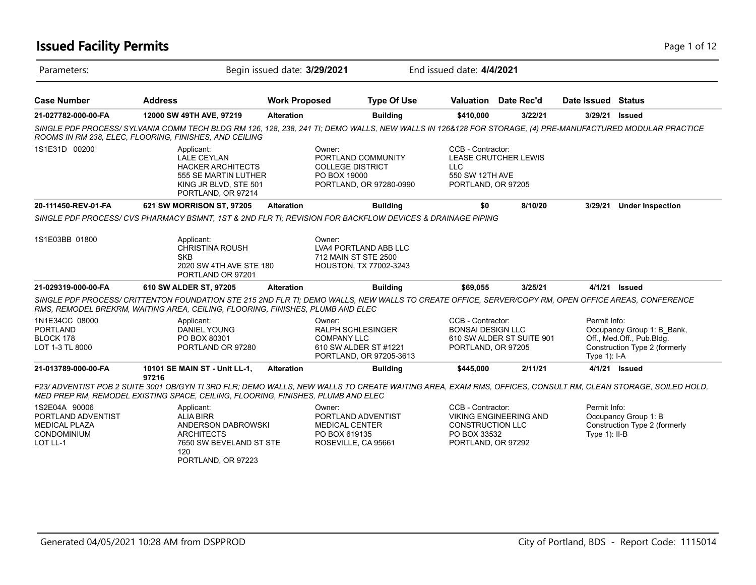## **Issued Facility Permits** Page 1 of 12

| Parameters:                                                                                   |                                                                                                                                                                                                                                                          | Begin issued date: 3/29/2021 |                                                                                                    | End issued date: 4/4/2021                                                          |                               |                                  |                                                                                          |
|-----------------------------------------------------------------------------------------------|----------------------------------------------------------------------------------------------------------------------------------------------------------------------------------------------------------------------------------------------------------|------------------------------|----------------------------------------------------------------------------------------------------|------------------------------------------------------------------------------------|-------------------------------|----------------------------------|------------------------------------------------------------------------------------------|
| <b>Case Number</b>                                                                            | <b>Address</b>                                                                                                                                                                                                                                           | <b>Work Proposed</b>         | <b>Type Of Use</b>                                                                                 |                                                                                    | Valuation Date Rec'd          | Date Issued Status               |                                                                                          |
| 21-027782-000-00-FA                                                                           | 12000 SW 49TH AVE, 97219                                                                                                                                                                                                                                 | <b>Alteration</b>            | <b>Building</b>                                                                                    | \$410,000                                                                          | 3/22/21                       | 3/29/21                          | <b>Issued</b>                                                                            |
|                                                                                               | SINGLE PDF PROCESS/SYLVANIA COMM TECH BLDG RM 126, 128, 238, 241 TI; DEMO WALLS, NEW WALLS IN 126&128 FOR STORAGE, (4) PRE-MANUFACTURED MODULAR PRACTICE<br>ROOMS IN RM 238, ELEC, FLOORING, FINISHES, AND CEILING                                       |                              |                                                                                                    |                                                                                    |                               |                                  |                                                                                          |
| 1S1E31D 00200                                                                                 | Applicant:<br><b>LALE CEYLAN</b><br><b>HACKER ARCHITECTS</b><br>555 SE MARTIN LUTHER<br>KING JR BLVD, STE 501<br>PORTLAND, OR 97214                                                                                                                      | Owner:<br>PO BOX 19000       | PORTLAND COMMUNITY<br><b>COLLEGE DISTRICT</b><br>PORTLAND, OR 97280-0990                           | CCB - Contractor:<br>LLC<br>550 SW 12TH AVE<br>PORTLAND, OR 97205                  | <b>LEASE CRUTCHER LEWIS</b>   |                                  |                                                                                          |
| 20-111450-REV-01-FA                                                                           | 621 SW MORRISON ST, 97205                                                                                                                                                                                                                                | <b>Alteration</b>            | <b>Building</b>                                                                                    | \$0                                                                                | 8/10/20                       | 3/29/21                          | <b>Under Inspection</b>                                                                  |
|                                                                                               | SINGLE PDF PROCESS/ CVS PHARMACY BSMNT, 1ST & 2ND FLR TI; REVISION FOR BACKFLOW DEVICES & DRAINAGE PIPING                                                                                                                                                |                              |                                                                                                    |                                                                                    |                               |                                  |                                                                                          |
| 1S1E03BB 01800                                                                                | Applicant:<br><b>CHRISTINA ROUSH</b><br><b>SKB</b><br>2020 SW 4TH AVE STE 180<br>PORTLAND OR 97201                                                                                                                                                       | Owner:                       | LVA4 PORTLAND ABB LLC<br>712 MAIN ST STE 2500<br>HOUSTON, TX 77002-3243                            |                                                                                    |                               |                                  |                                                                                          |
| 21-029319-000-00-FA                                                                           | 610 SW ALDER ST, 97205                                                                                                                                                                                                                                   | <b>Alteration</b>            | <b>Building</b>                                                                                    | \$69,055                                                                           | 3/25/21                       |                                  | 4/1/21 Issued                                                                            |
|                                                                                               | SINGLE PDF PROCESS/ CRITTENTON FOUNDATION STE 215 2ND FLR TI; DEMO WALLS, NEW WALLS TO CREATE OFFICE, SERVER/COPY RM, OPEN OFFICE AREAS, CONFERENCE<br>RMS, REMODEL BREKRM, WAITING AREA, CEILING, FLOORING, FINISHES, PLUMB AND ELEC                    |                              |                                                                                                    |                                                                                    |                               |                                  |                                                                                          |
| 1N1E34CC 08000<br><b>PORTLAND</b><br>BLOCK 178<br>LOT 1-3 TL 8000                             | Applicant:<br><b>DANIEL YOUNG</b><br>PO BOX 80301<br>PORTLAND OR 97280                                                                                                                                                                                   | Owner:                       | <b>RALPH SCHLESINGER</b><br><b>COMPANY LLC</b><br>610 SW ALDER ST #1221<br>PORTLAND, OR 97205-3613 | CCB - Contractor:<br><b>BONSAI DESIGN LLC</b><br>PORTLAND, OR 97205                | 610 SW ALDER ST SUITE 901     | Permit Info:<br>Type $1$ : I-A   | Occupancy Group 1: B_Bank,<br>Off., Med.Off., Pub.Bldg.<br>Construction Type 2 (formerly |
| 21-013789-000-00-FA                                                                           | 10101 SE MAIN ST - Unit LL-1,                                                                                                                                                                                                                            | <b>Alteration</b>            | <b>Building</b>                                                                                    | \$445,000                                                                          | 2/11/21                       |                                  | 4/1/21 <b>Issued</b>                                                                     |
|                                                                                               | 97216<br>F23/ ADVENTIST POB 2 SUITE 3001 OB/GYN TI 3RD FLR; DEMO WALLS, NEW WALLS TO CREATE WAITING AREA, EXAM RMS, OFFICES, CONSULT RM, CLEAN STORAGE, SOILED HOLD,<br>MED PREP RM, REMODEL EXISTING SPACE, CEILING, FLOORING, FINISHES, PLUMB AND ELEC |                              |                                                                                                    |                                                                                    |                               |                                  |                                                                                          |
| 1S2E04A 90006<br>PORTLAND ADVENTIST<br><b>MEDICAL PLAZA</b><br><b>CONDOMINIUM</b><br>LOT LL-1 | Applicant:<br><b>ALIA BIRR</b><br>ANDERSON DABROWSKI<br><b>ARCHITECTS</b><br>7650 SW BEVELAND ST STE<br>120<br>PORTLAND, OR 97223                                                                                                                        | Owner:                       | PORTLAND ADVENTIST<br><b>MEDICAL CENTER</b><br>PO BOX 619135<br>ROSEVILLE, CA 95661                | CCB - Contractor:<br><b>CONSTRUCTION LLC</b><br>PO BOX 33532<br>PORTLAND, OR 97292 | <b>VIKING ENGINEERING AND</b> | Permit Info:<br>Type $1$ ): II-B | Occupancy Group 1: B<br>Construction Type 2 (formerly                                    |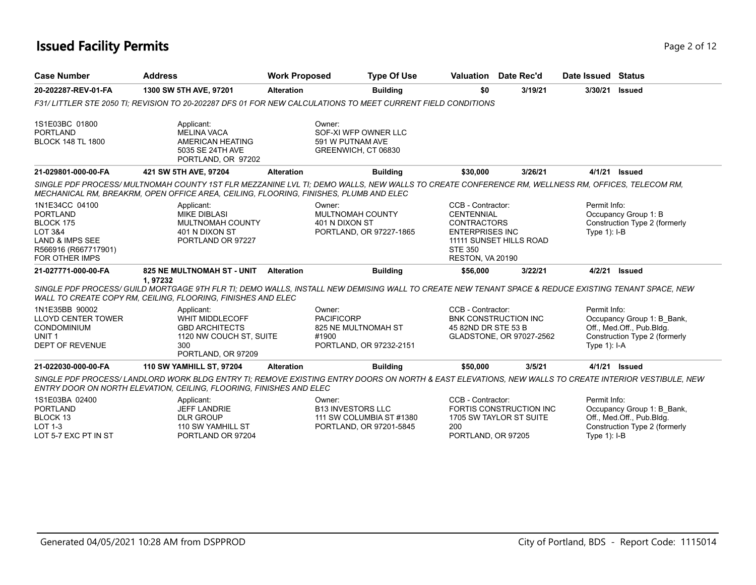## **Issued Facility Permits** Page 2 of 12

| <b>Case Number</b>                                                                                                                                  | <b>Address</b>                                                                                                                                                                                                                          | <b>Work Proposed</b>                 | <b>Type Of Use</b>                                                              | <b>Valuation</b> Date Rec'd                                                                                                                             |                          | Date Issued Status             |                                                                                          |
|-----------------------------------------------------------------------------------------------------------------------------------------------------|-----------------------------------------------------------------------------------------------------------------------------------------------------------------------------------------------------------------------------------------|--------------------------------------|---------------------------------------------------------------------------------|---------------------------------------------------------------------------------------------------------------------------------------------------------|--------------------------|--------------------------------|------------------------------------------------------------------------------------------|
| 20-202287-REV-01-FA                                                                                                                                 | 1300 SW 5TH AVE, 97201                                                                                                                                                                                                                  | <b>Alteration</b>                    | <b>Building</b>                                                                 | \$0                                                                                                                                                     | 3/19/21                  | 3/30/21                        | <b>Issued</b>                                                                            |
|                                                                                                                                                     | F31/LITTLER STE 2050 TI; REVISION TO 20-202287 DFS 01 FOR NEW CALCULATIONS TO MEET CURRENT FIELD CONDITIONS                                                                                                                             |                                      |                                                                                 |                                                                                                                                                         |                          |                                |                                                                                          |
| 1S1E03BC 01800<br><b>PORTLAND</b><br><b>BLOCK 148 TL 1800</b>                                                                                       | Applicant:<br><b>MELINA VACA</b><br>AMERICAN HEATING<br>5035 SE 24TH AVE<br>PORTLAND, OR 97202                                                                                                                                          | Owner:                               | SOF-XI WFP OWNER LLC<br>591 W PUTNAM AVE<br>GREENWICH, CT 06830                 |                                                                                                                                                         |                          |                                |                                                                                          |
| 21-029801-000-00-FA                                                                                                                                 | 421 SW 5TH AVE, 97204                                                                                                                                                                                                                   | <b>Alteration</b>                    | <b>Building</b>                                                                 | \$30,000                                                                                                                                                | 3/26/21                  | 4/1/21                         | Issued                                                                                   |
|                                                                                                                                                     | SINGLE PDF PROCESS/MULTNOMAH COUNTY 1ST FLR MEZZANINE LVL TI; DEMO WALLS, NEW WALLS TO CREATE CONFERENCE RM, WELLNESS RM, OFFICES, TELECOM RM,<br>MECHANICAL RM, BREAKRM, OPEN OFFICE AREA, CEILING, FLOORING, FINISHES, PLUMB AND ELEC |                                      |                                                                                 |                                                                                                                                                         |                          |                                |                                                                                          |
| 1N1E34CC 04100<br><b>PORTLAND</b><br>BLOCK 175<br><b>LOT 3&amp;4</b><br><b>LAND &amp; IMPS SEE</b><br>R566916 (R667717901)<br><b>FOR OTHER IMPS</b> | Applicant:<br><b>MIKE DIBLASI</b><br>MULTNOMAH COUNTY<br>401 N DIXON ST<br>PORTLAND OR 97227                                                                                                                                            | Owner:                               | MULTNOMAH COUNTY<br>401 N DIXON ST<br>PORTLAND, OR 97227-1865                   | CCB - Contractor:<br><b>CENTENNIAL</b><br><b>CONTRACTORS</b><br><b>ENTERPRISES INC</b><br>11111 SUNSET HILLS ROAD<br><b>STE 350</b><br>RESTON, VA 20190 |                          | Permit Info:<br>Type $1$ : I-B | Occupancy Group 1: B<br>Construction Type 2 (formerly                                    |
| 21-027771-000-00-FA                                                                                                                                 | 825 NE MULTNOMAH ST - UNIT<br>1,97232<br>SINGLE PDF PROCESS/ GUILD MORTGAGE 9TH FLR TI; DEMO WALLS, INSTALL NEW DEMISING WALL TO CREATE NEW TENANT SPACE & REDUCE EXISTING TENANT SPACE, NEW                                            | <b>Alteration</b>                    | <b>Building</b>                                                                 | \$56,000                                                                                                                                                | 3/22/21                  | 4/2/21                         | <b>Issued</b>                                                                            |
| 1N1E35BB 90002<br><b>LLOYD CENTER TOWER</b><br>CONDOMINIUM<br>UNIT <sub>1</sub><br><b>DEPT OF REVENUE</b>                                           | WALL TO CREATE COPY RM, CEILING, FLOORING, FINISHES AND ELEC<br>Applicant:<br><b>WHIT MIDDLECOFF</b><br><b>GBD ARCHITECTS</b><br>1120 NW COUCH ST, SUITE<br>300<br>PORTLAND, OR 97209                                                   | Owner:<br><b>PACIFICORP</b><br>#1900 | 825 NE MULTNOMAH ST<br>PORTLAND, OR 97232-2151                                  | CCB - Contractor:<br><b>BNK CONSTRUCTION INC</b><br>45 82ND DR STE 53 B                                                                                 | GLADSTONE, OR 97027-2562 | Permit Info:<br>Type $1$ : I-A | Occupancy Group 1: B Bank,<br>Off., Med.Off., Pub.Bldg.<br>Construction Type 2 (formerly |
| 21-022030-000-00-FA                                                                                                                                 | <b>110 SW YAMHILL ST, 97204</b>                                                                                                                                                                                                         | <b>Alteration</b>                    | <b>Building</b>                                                                 | \$50,000                                                                                                                                                | 3/5/21                   |                                | 4/1/21 <b>Issued</b>                                                                     |
|                                                                                                                                                     | SINGLE PDF PROCESS/LANDLORD WORK BLDG ENTRY TI: REMOVE EXISTING ENTRY DOORS ON NORTH & EAST ELEVATIONS, NEW WALLS TO CREATE INTERIOR VESTIBULE, NEW<br>ENTRY DOOR ON NORTH ELEVATION, CEILING, FLOORING, FINISHES AND ELEC              |                                      |                                                                                 |                                                                                                                                                         |                          |                                |                                                                                          |
| 1S1E03BA 02400<br><b>PORTLAND</b><br>BLOCK 13<br><b>LOT 1-3</b><br>LOT 5-7 EXC PT IN ST                                                             | Applicant:<br><b>JEFF LANDRIE</b><br><b>DLR GROUP</b><br>110 SW YAMHILL ST<br>PORTLAND OR 97204                                                                                                                                         | Owner:                               | <b>B13 INVESTORS LLC</b><br>111 SW COLUMBIA ST #1380<br>PORTLAND, OR 97201-5845 | CCB - Contractor:<br>1705 SW TAYLOR ST SUITE<br>200<br>PORTLAND, OR 97205                                                                               | FORTIS CONSTRUCTION INC  | Permit Info:<br>Type $1$ : I-B | Occupancy Group 1: B Bank,<br>Off., Med.Off., Pub.Bldg.<br>Construction Type 2 (formerly |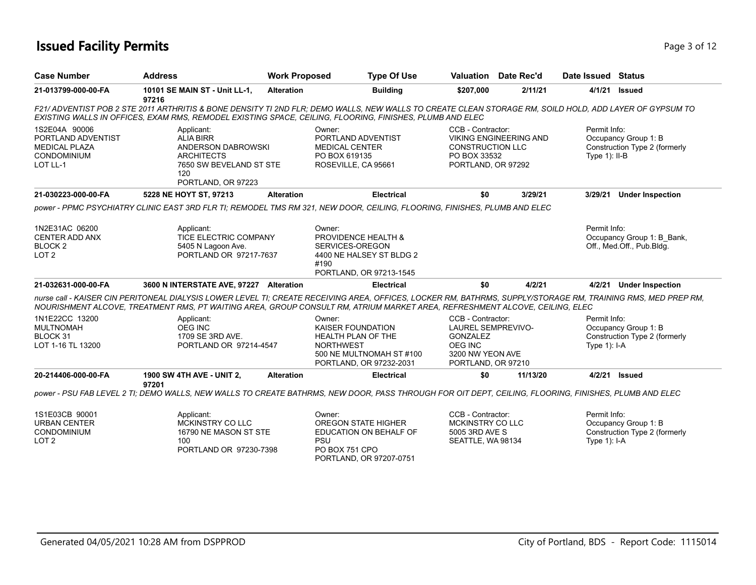## **Issued Facility Permits** Page 1 of 12

| <b>Case Number</b>                                                                            | <b>Address</b>                                                                                                                                                                                                                                                                               | <b>Work Proposed</b> |                                                                                                                                            | <b>Type Of Use</b> |                                                                                                                        | <b>Valuation</b> Date Rec'd   | Date Issued Status              |                                                         |
|-----------------------------------------------------------------------------------------------|----------------------------------------------------------------------------------------------------------------------------------------------------------------------------------------------------------------------------------------------------------------------------------------------|----------------------|--------------------------------------------------------------------------------------------------------------------------------------------|--------------------|------------------------------------------------------------------------------------------------------------------------|-------------------------------|---------------------------------|---------------------------------------------------------|
| 21-013799-000-00-FA                                                                           | 10101 SE MAIN ST - Unit LL-1,<br>97216                                                                                                                                                                                                                                                       | <b>Alteration</b>    |                                                                                                                                            | <b>Building</b>    | \$207,000                                                                                                              | 2/11/21                       | 4/1/21                          | <b>Issued</b>                                           |
|                                                                                               | F21/ADVENTIST POB 2 STE 2011 ARTHRITIS & BONE DENSITY TI 2ND FLR; DEMO WALLS, NEW WALLS TO CREATE CLEAN STORAGE RM, SOILD HOLD, ADD LAYER OF GYPSUM TO<br>EXISTING WALLS IN OFFICES, EXAM RMS, REMODEL EXISTING SPACE, CEILING, FLOORING, FINISHES, PLUMB AND ELEC                           |                      |                                                                                                                                            |                    |                                                                                                                        |                               |                                 |                                                         |
| 1S2E04A 90006<br>PORTLAND ADVENTIST<br><b>MEDICAL PLAZA</b><br><b>CONDOMINIUM</b><br>LOT LL-1 | Applicant:<br><b>ALIA BIRR</b><br>ANDERSON DABROWSKI<br><b>ARCHITECTS</b><br>7650 SW BEVELAND ST STE<br>120<br>PORTLAND, OR 97223                                                                                                                                                            |                      | Owner:<br>PORTLAND ADVENTIST<br><b>MEDICAL CENTER</b><br>PO BOX 619135<br>ROSEVILLE, CA 95661                                              |                    | CCB - Contractor:<br><b>CONSTRUCTION LLC</b><br>PO BOX 33532<br>PORTLAND, OR 97292                                     | <b>VIKING ENGINEERING AND</b> | Permit Info:<br>Type $1$ : II-B | Occupancy Group 1: B<br>Construction Type 2 (formerly   |
| 21-030223-000-00-FA                                                                           | 5228 NE HOYT ST, 97213                                                                                                                                                                                                                                                                       | <b>Alteration</b>    |                                                                                                                                            | <b>Electrical</b>  | \$0                                                                                                                    | 3/29/21                       | 3/29/21                         | <b>Under Inspection</b>                                 |
|                                                                                               | power - PPMC PSYCHIATRY CLINIC EAST 3RD FLR TI; REMODEL TMS RM 321, NEW DOOR, CEILING, FLOORING, FINISHES, PLUMB AND ELEC                                                                                                                                                                    |                      |                                                                                                                                            |                    |                                                                                                                        |                               |                                 |                                                         |
| 1N2E31AC 06200<br><b>CENTER ADD ANX</b><br>BLOCK <sub>2</sub><br>LOT <sub>2</sub>             | Applicant:<br>TICE ELECTRIC COMPANY<br>5405 N Lagoon Ave.<br>PORTLAND OR 97217-7637                                                                                                                                                                                                          |                      | Owner:<br>PROVIDENCE HEALTH &<br>SERVICES-OREGON<br>4400 NE HALSEY ST BLDG 2<br>#190<br>PORTLAND, OR 97213-1545                            |                    |                                                                                                                        |                               | Permit Info:                    | Occupancy Group 1: B Bank,<br>Off., Med.Off., Pub.Bldg. |
| 21-032631-000-00-FA                                                                           | 3600 N INTERSTATE AVE, 97227 Alteration                                                                                                                                                                                                                                                      |                      |                                                                                                                                            | <b>Electrical</b>  | \$0                                                                                                                    | 4/2/21                        |                                 | 4/2/21 Under Inspection                                 |
|                                                                                               | nurse call - KAISER CIN PERITONEAL DIALYSIS LOWER LEVEL TI; CREATE RECEIVING AREA, OFFICES, LOCKER RM, BATHRMS, SUPPLY/STORAGE RM, TRAINING RMS, MED PREP RM,<br>NOURISHMENT ALCOVE, TREATMENT RMS, PT WAITING AREA, GROUP CONSULT RM, ATRIUM MARKET AREA, REFRESHMENT ALCOVE, CEILING, ELEC |                      |                                                                                                                                            |                    |                                                                                                                        |                               |                                 |                                                         |
| 1N1E22CC 13200<br><b>MULTNOMAH</b><br>BLOCK 31<br>LOT 1-16 TL 13200                           | Applicant:<br><b>OEG INC</b><br>1709 SE 3RD AVE.<br>PORTLAND OR 97214-4547                                                                                                                                                                                                                   |                      | Owner:<br><b>KAISER FOUNDATION</b><br><b>HEALTH PLAN OF THE</b><br><b>NORTHWEST</b><br>500 NE MULTNOMAH ST #100<br>PORTLAND, OR 97232-2031 |                    | CCB - Contractor:<br><b>LAUREL SEMPREVIVO-</b><br><b>GONZALEZ</b><br>OEG INC<br>3200 NW YEON AVE<br>PORTLAND, OR 97210 |                               | Permit Info:<br>Type $1$ : I-A  | Occupancy Group 1: B<br>Construction Type 2 (formerly   |
| 20-214406-000-00-FA                                                                           | 1900 SW 4TH AVE - UNIT 2,<br>97201                                                                                                                                                                                                                                                           | <b>Alteration</b>    |                                                                                                                                            | <b>Electrical</b>  | \$0                                                                                                                    | 11/13/20                      | 4/2/21                          | Issued                                                  |
|                                                                                               | power - PSU FAB LEVEL 2 TI; DEMO WALLS, NEW WALLS TO CREATE BATHRMS, NEW DOOR, PASS THROUGH FOR OIT DEPT, CEILING, FLOORING, FINISHES, PLUMB AND ELEC                                                                                                                                        |                      |                                                                                                                                            |                    |                                                                                                                        |                               |                                 |                                                         |
| 1S1E03CB 90001<br><b>URBAN CENTER</b><br><b>CONDOMINIUM</b><br>LOT <sub>2</sub>               | Applicant:<br>MCKINSTRY CO LLC<br>16790 NE MASON ST STE<br>100                                                                                                                                                                                                                               |                      | Owner:<br><b>OREGON STATE HIGHER</b><br>EDUCATION ON BEHALF OF<br><b>PSU</b>                                                               |                    | CCB - Contractor:<br>MCKINSTRY CO LLC<br>5005 3RD AVE S<br>SEATTLE, WA 98134                                           |                               | Permit Info:<br>Type $1$ : I-A  | Occupancy Group 1: B<br>Construction Type 2 (formerly   |

PO BOX 751 CPO

PORTLAND, OR 97207-0751

PORTLAND OR 97230-7398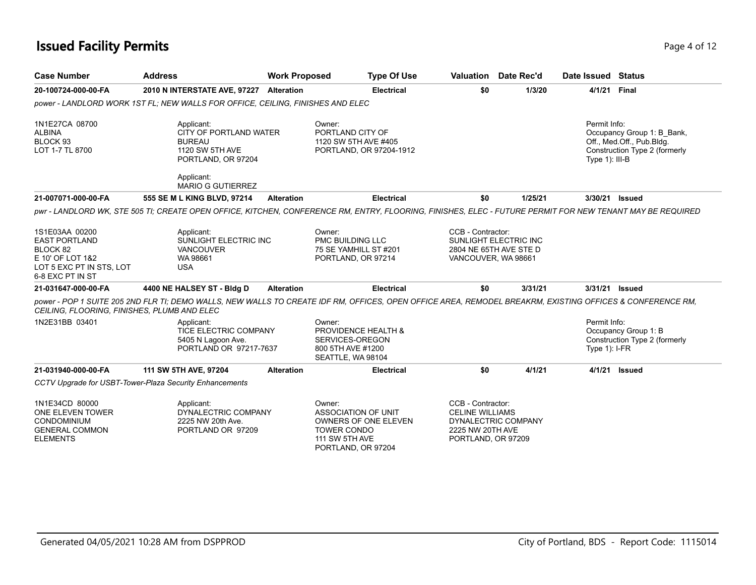## **Issued Facility Permits** Page 4 of 12

| <b>Case Number</b>                                                                                                     | <b>Address</b>                                                                                                                                            | <b>Work Proposed</b> | <b>Type Of Use</b>                                                                                                  |                                                                                       | <b>Valuation</b> Date Rec'd                     | Date Issued Status                |                                                                                          |
|------------------------------------------------------------------------------------------------------------------------|-----------------------------------------------------------------------------------------------------------------------------------------------------------|----------------------|---------------------------------------------------------------------------------------------------------------------|---------------------------------------------------------------------------------------|-------------------------------------------------|-----------------------------------|------------------------------------------------------------------------------------------|
| 20-100724-000-00-FA                                                                                                    | 2010 N INTERSTATE AVE, 97227 Alteration                                                                                                                   |                      | <b>Electrical</b>                                                                                                   | \$0                                                                                   | 1/3/20                                          | 4/1/21 Final                      |                                                                                          |
|                                                                                                                        | power - LANDLORD WORK 1ST FL: NEW WALLS FOR OFFICE, CEILING, FINISHES AND ELEC                                                                            |                      |                                                                                                                     |                                                                                       |                                                 |                                   |                                                                                          |
| 1N1E27CA 08700<br><b>ALBINA</b><br>BLOCK 93<br>LOT 1-7 TL 8700                                                         | Applicant:<br>CITY OF PORTLAND WATER<br><b>BUREAU</b><br>1120 SW 5TH AVE<br>PORTLAND, OR 97204<br>Applicant:                                              |                      | Owner:<br>PORTLAND CITY OF<br>1120 SW 5TH AVE #405<br>PORTLAND, OR 97204-1912                                       |                                                                                       |                                                 | Permit Info:<br>Type $1$ ): III-B | Occupancy Group 1: B Bank,<br>Off., Med.Off., Pub.Bldg.<br>Construction Type 2 (formerly |
|                                                                                                                        | <b>MARIO G GUTIERREZ</b>                                                                                                                                  |                      |                                                                                                                     |                                                                                       |                                                 |                                   |                                                                                          |
| 21-007071-000-00-FA                                                                                                    | 555 SE M L KING BLVD, 97214                                                                                                                               | <b>Alteration</b>    | <b>Electrical</b>                                                                                                   | \$0                                                                                   | 1/25/21                                         |                                   | 3/30/21 Issued                                                                           |
|                                                                                                                        | pwr - LANDLORD WK, STE 505 TI; CREATE OPEN OFFICE, KITCHEN, CONFERENCE RM, ENTRY, FLOORING, FINISHES, ELEC - FUTURE PERMIT FOR NEW TENANT MAY BE REQUIRED |                      |                                                                                                                     |                                                                                       |                                                 |                                   |                                                                                          |
| 1S1E03AA 00200<br><b>EAST PORTLAND</b><br>BLOCK 82<br>E 10' OF LOT 1&2<br>LOT 5 EXC PT IN STS, LOT<br>6-8 EXC PT IN ST | Applicant:<br>SUNLIGHT ELECTRIC INC<br><b>VANCOUVER</b><br>WA 98661<br><b>USA</b>                                                                         |                      | Owner:<br>PMC BUILDING LLC<br>75 SE YAMHILL ST #201<br>PORTLAND, OR 97214                                           | CCB - Contractor:<br>VANCOUVER, WA 98661                                              | SUNLIGHT ELECTRIC INC<br>2804 NE 65TH AVE STE D |                                   |                                                                                          |
| 21-031647-000-00-FA                                                                                                    | 4400 NE HALSEY ST - Bldg D                                                                                                                                | <b>Alteration</b>    | <b>Electrical</b>                                                                                                   | \$0                                                                                   | 3/31/21                                         |                                   | 3/31/21 Issued                                                                           |
| CEILING, FLOORING, FINISHES, PLUMB AND ELEC                                                                            | power - POP 1 SUITE 205 2ND FLR TI; DEMO WALLS, NEW WALLS TO CREATE IDF RM, OFFICES, OPEN OFFICE AREA, REMODEL BREAKRM, EXISTING OFFICES & CONFERENCE RM, |                      |                                                                                                                     |                                                                                       |                                                 |                                   |                                                                                          |
| 1N2E31BB 03401                                                                                                         | Applicant:<br><b>TICE ELECTRIC COMPANY</b><br>5405 N Lagoon Ave.<br>PORTLAND OR 97217-7637                                                                |                      | Owner:<br>PROVIDENCE HEALTH &<br>SERVICES-OREGON<br>800 5TH AVE #1200<br>SEATTLE, WA 98104                          |                                                                                       |                                                 | Permit Info:<br>Type $1$ : I-FR   | Occupancy Group 1: B<br>Construction Type 2 (formerly                                    |
| 21-031940-000-00-FA                                                                                                    | 111 SW 5TH AVE, 97204                                                                                                                                     | <b>Alteration</b>    | <b>Electrical</b>                                                                                                   | \$0                                                                                   | 4/1/21                                          | 4/1/21                            | <b>Issued</b>                                                                            |
|                                                                                                                        | CCTV Upgrade for USBT-Tower-Plaza Security Enhancements                                                                                                   |                      |                                                                                                                     |                                                                                       |                                                 |                                   |                                                                                          |
| 1N1E34CD 80000<br>ONE ELEVEN TOWER<br><b>CONDOMINIUM</b><br><b>GENERAL COMMON</b><br><b>ELEMENTS</b>                   | Applicant:<br>DYNALECTRIC COMPANY<br>2225 NW 20th Ave.<br>PORTLAND OR 97209                                                                               |                      | Owner:<br>ASSOCIATION OF UNIT<br>OWNERS OF ONE ELEVEN<br><b>TOWER CONDO</b><br>111 SW 5TH AVE<br>PORTLAND, OR 97204 | CCB - Contractor:<br><b>CELINE WILLIAMS</b><br>2225 NW 20TH AVE<br>PORTLAND, OR 97209 | DYNALECTRIC COMPANY                             |                                   |                                                                                          |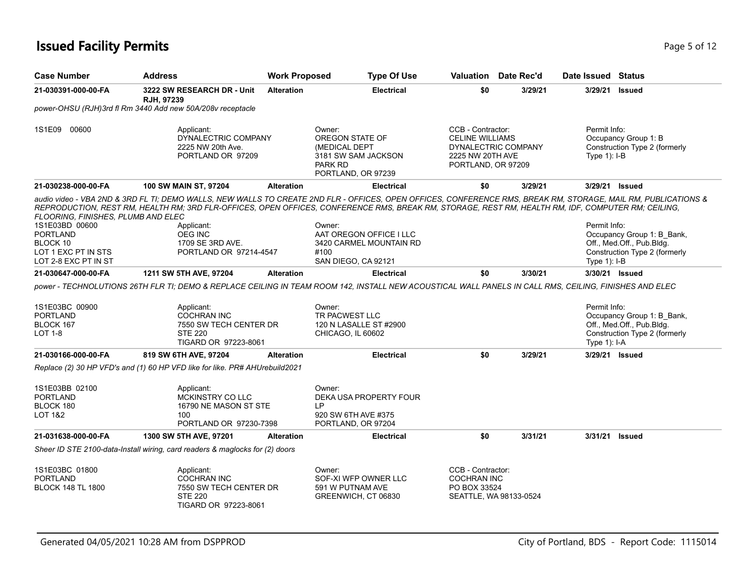## **Issued Facility Permits** Page 1 2 and 2 and 2 and 2 and 2 and 2 and 2 and 2 and 2 and 2 and 2 and 2 and 2 and 2 and 2 and 2 and 2 and 2 and 2 and 2 and 2 and 2 and 2 and 2 and 2 and 2 and 2 and 2 and 2 and 2 and 2 and 2 a

| <b>Case Number</b>                                                                                                                 | <b>Address</b>                                                                                                                                                                                                                                                                                                                                                                                     | <b>Work Proposed</b> | <b>Type Of Use</b>                                                                                        |                                                                                       | <b>Valuation</b> Date Rec'd | Date Issued Status             |                                                                                          |
|------------------------------------------------------------------------------------------------------------------------------------|----------------------------------------------------------------------------------------------------------------------------------------------------------------------------------------------------------------------------------------------------------------------------------------------------------------------------------------------------------------------------------------------------|----------------------|-----------------------------------------------------------------------------------------------------------|---------------------------------------------------------------------------------------|-----------------------------|--------------------------------|------------------------------------------------------------------------------------------|
| 21-030391-000-00-FA                                                                                                                | 3222 SW RESEARCH DR - Unit<br>RJH. 97239                                                                                                                                                                                                                                                                                                                                                           | <b>Alteration</b>    | <b>Electrical</b>                                                                                         | \$0                                                                                   | 3/29/21                     | 3/29/21                        | <b>Issued</b>                                                                            |
|                                                                                                                                    | power-OHSU (RJH)3rd fl Rm 3440 Add new 50A/208v receptacle                                                                                                                                                                                                                                                                                                                                         |                      |                                                                                                           |                                                                                       |                             |                                |                                                                                          |
| 1S1E09 00600                                                                                                                       | Applicant:<br>DYNALECTRIC COMPANY<br>2225 NW 20th Ave.<br>PORTLAND OR 97209                                                                                                                                                                                                                                                                                                                        |                      | Owner:<br>OREGON STATE OF<br>(MEDICAL DEPT<br>3181 SW SAM JACKSON<br><b>PARK RD</b><br>PORTLAND, OR 97239 | CCB - Contractor:<br><b>CELINE WILLIAMS</b><br>2225 NW 20TH AVE<br>PORTLAND, OR 97209 | DYNALECTRIC COMPANY         | Permit Info:<br>Type $1$ : I-B | Occupancy Group 1: B<br>Construction Type 2 (formerly                                    |
| 21-030238-000-00-FA                                                                                                                | 100 SW MAIN ST, 97204                                                                                                                                                                                                                                                                                                                                                                              | <b>Alteration</b>    | <b>Electrical</b>                                                                                         | \$0                                                                                   | 3/29/21                     | 3/29/21 Issued                 |                                                                                          |
| FLOORING, FINISHES, PLUMB AND ELEC<br>1S1E03BD 00600<br><b>PORTLAND</b><br>BLOCK 10<br>LOT 1 EXC PT IN STS<br>LOT 2-8 EXC PT IN ST | audio video - VBA 2ND & 3RD FL TI; DEMO WALLS, NEW WALLS TO CREATE 2ND FLR - OFFICES, OPEN OFFICES, CONFERENCE RMS, BREAK RM, STORAGE, MAIL RM, PUBLICATIONS &<br>REPRODUCTION, REST RM, HEALTH RM; 3RD FLR-OFFICES, OPEN OFFICES, CONFERENCE RMS, BREAK RM, STORAGE, REST RM, HEALTH RM, IDF, COMPUTER RM; CEILING,<br>Applicant:<br><b>OEG INC</b><br>1709 SE 3RD AVE.<br>PORTLAND OR 97214-4547 |                      | Owner:<br>AAT OREGON OFFICE I LLC<br>3420 CARMEL MOUNTAIN RD<br>#100<br>SAN DIEGO, CA 92121               |                                                                                       |                             | Permit Info:<br>Type $1$ : I-B | Occupancy Group 1: B_Bank,<br>Off., Med.Off., Pub.Bldg.<br>Construction Type 2 (formerly |
| 21-030647-000-00-FA                                                                                                                | 1211 SW 5TH AVE, 97204                                                                                                                                                                                                                                                                                                                                                                             | <b>Alteration</b>    | <b>Electrical</b>                                                                                         | \$0                                                                                   | 3/30/21                     | 3/30/21 Issued                 |                                                                                          |
| 1S1E03BC 00900<br><b>PORTLAND</b><br>BLOCK 167<br>LOT 1-8                                                                          | power - TECHNOLUTIONS 26TH FLR TI; DEMO & REPLACE CEILING IN TEAM ROOM 142, INSTALL NEW ACOUSTICAL WALL PANELS IN CALL RMS, CEILING, FINISHES AND ELEC<br>Applicant:<br><b>COCHRAN INC</b><br>7550 SW TECH CENTER DR<br><b>STE 220</b><br>TIGARD OR 97223-8061                                                                                                                                     |                      | Owner:<br>TR PACWEST LLC<br>120 N LASALLE ST #2900<br>CHICAGO, IL 60602                                   |                                                                                       |                             | Permit Info:<br>Type $1$ : I-A | Occupancy Group 1: B_Bank,<br>Off., Med.Off., Pub.Bldg.<br>Construction Type 2 (formerly |
| 21-030166-000-00-FA                                                                                                                | 819 SW 6TH AVE, 97204                                                                                                                                                                                                                                                                                                                                                                              | <b>Alteration</b>    | <b>Electrical</b>                                                                                         | \$0                                                                                   | 3/29/21                     | 3/29/21 Issued                 |                                                                                          |
|                                                                                                                                    | Replace (2) 30 HP VFD's and (1) 60 HP VFD like for like. PR# AHUrebuild2021                                                                                                                                                                                                                                                                                                                        |                      |                                                                                                           |                                                                                       |                             |                                |                                                                                          |
| 1S1E03BB 02100<br><b>PORTLAND</b><br>BLOCK 180<br>LOT 1&2                                                                          | Applicant:<br>MCKINSTRY CO LLC<br>16790 NE MASON ST STE<br>100<br>PORTLAND OR 97230-7398                                                                                                                                                                                                                                                                                                           |                      | Owner:<br>DEKA USA PROPERTY FOUR<br>LP<br>920 SW 6TH AVE #375<br>PORTLAND, OR 97204                       |                                                                                       |                             |                                |                                                                                          |
| 21-031638-000-00-FA                                                                                                                | 1300 SW 5TH AVE, 97201                                                                                                                                                                                                                                                                                                                                                                             | <b>Alteration</b>    | <b>Electrical</b>                                                                                         | \$0                                                                                   | 3/31/21                     | 3/31/21                        | <b>Issued</b>                                                                            |
|                                                                                                                                    | Sheer ID STE 2100-data-Install wiring, card readers & maglocks for (2) doors                                                                                                                                                                                                                                                                                                                       |                      |                                                                                                           |                                                                                       |                             |                                |                                                                                          |
| 1S1E03BC 01800<br><b>PORTLAND</b><br><b>BLOCK 148 TL 1800</b>                                                                      | Applicant:<br><b>COCHRAN INC</b><br>7550 SW TECH CENTER DR<br><b>STE 220</b><br>TIGARD OR 97223-8061                                                                                                                                                                                                                                                                                               |                      | Owner:<br>SOF-XI WFP OWNER LLC<br>591 W PUTNAM AVE<br>GREENWICH, CT 06830                                 | CCB - Contractor:<br><b>COCHRAN INC</b><br>PO BOX 33524                               | SEATTLE, WA 98133-0524      |                                |                                                                                          |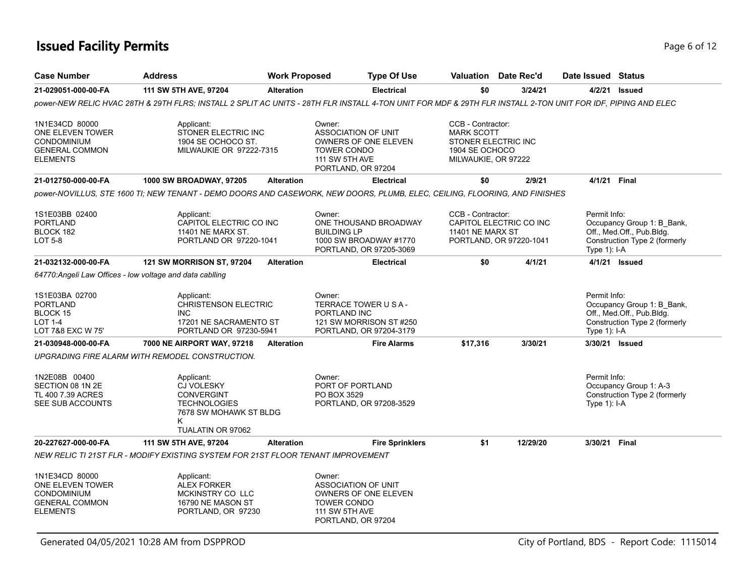## **Issued Facility Permits** Page 6 of 12

| <b>Case Number</b>                                                                                   | <b>Address</b>                                                                                                                                               | <b>Work Proposed</b> |                                                                                                           | <b>Type Of Use</b>                                                          |                                                                                                        | <b>Valuation</b> Date Rec'd                        | Date Issued Status             |                                                                                          |
|------------------------------------------------------------------------------------------------------|--------------------------------------------------------------------------------------------------------------------------------------------------------------|----------------------|-----------------------------------------------------------------------------------------------------------|-----------------------------------------------------------------------------|--------------------------------------------------------------------------------------------------------|----------------------------------------------------|--------------------------------|------------------------------------------------------------------------------------------|
| 21-029051-000-00-FA                                                                                  | 111 SW 5TH AVE, 97204                                                                                                                                        | <b>Alteration</b>    |                                                                                                           | <b>Electrical</b>                                                           | \$0                                                                                                    | 3/24/21                                            | 4/2/21                         | <b>Issued</b>                                                                            |
|                                                                                                      | power-NEW RELIC HVAC 28TH & 29TH FLRS: INSTALL 2 SPLIT AC UNITS - 28TH FLR INSTALL 4-TON UNIT FOR MDF & 29TH FLR INSTALL 2-TON UNIT FOR IDF. PIPING AND ELEC |                      |                                                                                                           |                                                                             |                                                                                                        |                                                    |                                |                                                                                          |
| 1N1E34CD 80000<br>ONE ELEVEN TOWER<br><b>CONDOMINIUM</b><br><b>GENERAL COMMON</b><br><b>ELEMENTS</b> | Applicant:<br>STONER ELECTRIC INC<br>1904 SE OCHOCO ST.<br>MILWAUKIE OR 97222-7315                                                                           |                      | Owner:<br><b>ASSOCIATION OF UNIT</b><br><b>TOWER CONDO</b><br><b>111 SW 5TH AVE</b><br>PORTLAND, OR 97204 | OWNERS OF ONE ELEVEN                                                        | CCB - Contractor:<br><b>MARK SCOTT</b><br>STONER ELECTRIC INC<br>1904 SE OCHOCO<br>MILWAUKIE, OR 97222 |                                                    |                                |                                                                                          |
| 21-012750-000-00-FA                                                                                  | <b>1000 SW BROADWAY, 97205</b>                                                                                                                               | <b>Alteration</b>    |                                                                                                           | <b>Electrical</b>                                                           | \$0                                                                                                    | 2/9/21                                             | 4/1/21 Final                   |                                                                                          |
|                                                                                                      | power-NOVILLUS, STE 1600 TI; NEW TENANT - DEMO DOORS AND CASEWORK, NEW DOORS, PLUMB, ELEC, CEILING, FLOORING, AND FINISHES                                   |                      |                                                                                                           |                                                                             |                                                                                                        |                                                    |                                |                                                                                          |
| 1S1E03BB 02400<br>PORTLAND<br>BLOCK 182<br><b>LOT 5-8</b>                                            | Applicant:<br>CAPITOL ELECTRIC CO INC<br>11401 NE MARX ST.<br>PORTLAND OR 97220-1041                                                                         |                      | Owner:<br><b>BUILDING LP</b>                                                                              | ONE THOUSAND BROADWAY<br>1000 SW BROADWAY #1770<br>PORTLAND, OR 97205-3069  | CCB - Contractor:<br>11401 NE MARX ST                                                                  | CAPITOL ELECTRIC CO INC<br>PORTLAND, OR 97220-1041 | Permit Info:<br>Type 1): I-A   | Occupancy Group 1: B_Bank,<br>Off., Med.Off., Pub.Bldg.<br>Construction Type 2 (formerly |
| 21-032132-000-00-FA                                                                                  | 121 SW MORRISON ST, 97204                                                                                                                                    | <b>Alteration</b>    |                                                                                                           | <b>Electrical</b>                                                           | \$0                                                                                                    | 4/1/21                                             |                                | 4/1/21 Issued                                                                            |
| 64770: Angeli Law Offices - low voltage and data cabiling                                            |                                                                                                                                                              |                      |                                                                                                           |                                                                             |                                                                                                        |                                                    |                                |                                                                                          |
| 1S1E03BA 02700<br><b>PORTLAND</b><br><b>BLOCK 15</b><br><b>LOT 1-4</b><br>LOT 7&8 EXC W 75'          | Applicant:<br><b>CHRISTENSON ELECTRIC</b><br><b>INC</b><br>17201 NE SACRAMENTO ST<br>PORTLAND OR 97230-5941                                                  |                      | Owner:<br>PORTLAND INC                                                                                    | TERRACE TOWER U S A -<br>121 SW MORRISON ST #250<br>PORTLAND, OR 97204-3179 |                                                                                                        |                                                    | Permit Info:<br>Type $1$ : I-A | Occupancy Group 1: B_Bank,<br>Off., Med.Off., Pub.Bldg.<br>Construction Type 2 (formerly |
| 21-030948-000-00-FA                                                                                  | 7000 NE AIRPORT WAY, 97218                                                                                                                                   | <b>Alteration</b>    |                                                                                                           | <b>Fire Alarms</b>                                                          | \$17,316                                                                                               | 3/30/21                                            |                                | 3/30/21 Issued                                                                           |
|                                                                                                      | UPGRADING FIRE ALARM WITH REMODEL CONSTRUCTION.                                                                                                              |                      |                                                                                                           |                                                                             |                                                                                                        |                                                    |                                |                                                                                          |
| 1N2E08B 00400<br>SECTION 08 1N 2E<br>TL 400 7.39 ACRES<br>SEE SUB ACCOUNTS                           | Applicant:<br><b>CJ VOLESKY</b><br><b>CONVERGINT</b><br><b>TECHNOLOGIES</b><br>7678 SW MOHAWK ST BLDG<br>K.<br>TUALATIN OR 97062                             |                      | Owner:<br>PORT OF PORTLAND<br>PO BOX 3529                                                                 | PORTLAND, OR 97208-3529                                                     |                                                                                                        |                                                    | Permit Info:<br>Type $1$ : I-A | Occupancy Group 1: A-3<br>Construction Type 2 (formerly                                  |
| 20-227627-000-00-FA                                                                                  | 111 SW 5TH AVE, 97204                                                                                                                                        | <b>Alteration</b>    |                                                                                                           | <b>Fire Sprinklers</b>                                                      | \$1                                                                                                    | 12/29/20                                           | 3/30/21 Final                  |                                                                                          |
|                                                                                                      | NEW RELIC TI 21ST FLR - MODIFY EXISTING SYSTEM FOR 21ST FLOOR TENANT IMPROVEMENT                                                                             |                      |                                                                                                           |                                                                             |                                                                                                        |                                                    |                                |                                                                                          |
| 1N1E34CD 80000<br>ONE ELEVEN TOWER<br><b>CONDOMINIUM</b><br><b>GENERAL COMMON</b><br><b>ELEMENTS</b> | Applicant:<br><b>ALEX FORKER</b><br>MCKINSTRY CO LLC<br>16790 NE MASON ST<br>PORTLAND, OR 97230                                                              |                      | Owner:<br>ASSOCIATION OF UNIT<br><b>TOWER CONDO</b><br>111 SW 5TH AVE<br>PORTLAND, OR 97204               | OWNERS OF ONE ELEVEN                                                        |                                                                                                        |                                                    |                                |                                                                                          |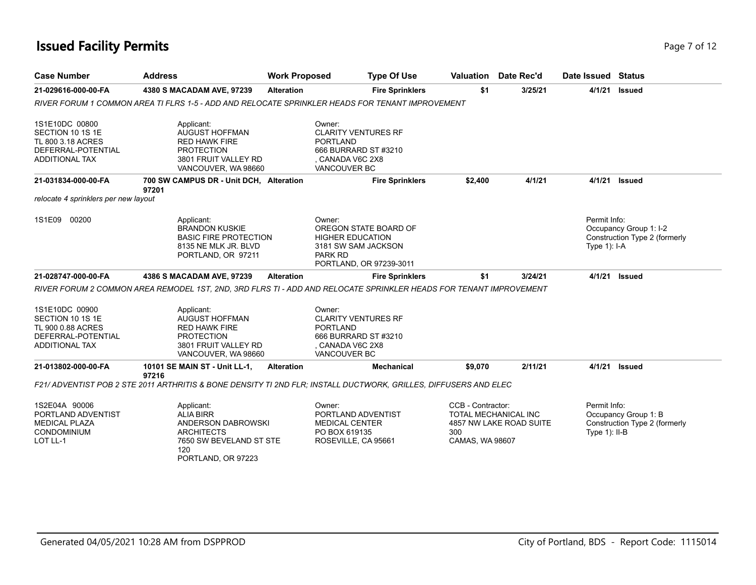## **Issued Facility Permits** Page 7 of 12

| <b>Case Number</b>                                                                                     | <b>Address</b>                                                                                                            | <b>Work Proposed</b> | <b>Type Of Use</b>                                                                                                         | Valuation                                          | Date Rec'd                                             | Date Issued Status               |                                                         |
|--------------------------------------------------------------------------------------------------------|---------------------------------------------------------------------------------------------------------------------------|----------------------|----------------------------------------------------------------------------------------------------------------------------|----------------------------------------------------|--------------------------------------------------------|----------------------------------|---------------------------------------------------------|
| 21-029616-000-00-FA                                                                                    | 4380 S MACADAM AVE, 97239                                                                                                 | <b>Alteration</b>    | <b>Fire Sprinklers</b>                                                                                                     | \$1                                                | 3/25/21                                                | 4/1/21                           | <b>Issued</b>                                           |
|                                                                                                        | RIVER FORUM 1 COMMON AREA TI FLRS 1-5 - ADD AND RELOCATE SPRINKLER HEADS FOR TENANT IMPROVEMENT                           |                      |                                                                                                                            |                                                    |                                                        |                                  |                                                         |
| 1S1E10DC 00800<br>SECTION 10 1S 1E<br>TL 800 3.18 ACRES<br>DEFERRAL-POTENTIAL<br><b>ADDITIONAL TAX</b> | Applicant:<br>AUGUST HOFFMAN<br><b>RED HAWK FIRE</b><br><b>PROTECTION</b><br>3801 FRUIT VALLEY RD<br>VANCOUVER, WA 98660  |                      | Owner:<br><b>CLARITY VENTURES RF</b><br><b>PORTLAND</b><br>666 BURRARD ST #3210<br>, CANADA V6C 2X8<br><b>VANCOUVER BC</b> |                                                    |                                                        |                                  |                                                         |
| 21-031834-000-00-FA                                                                                    | 700 SW CAMPUS DR - Unit DCH, Alteration<br>97201                                                                          |                      | <b>Fire Sprinklers</b>                                                                                                     | \$2,400                                            | 4/1/21                                                 | 4/1/21                           | <b>Issued</b>                                           |
| relocate 4 sprinklers per new layout                                                                   |                                                                                                                           |                      |                                                                                                                            |                                                    |                                                        |                                  |                                                         |
| 1S1E09 00200                                                                                           | Applicant:<br><b>BRANDON KUSKIE</b><br><b>BASIC FIRE PROTECTION</b><br>8135 NE MLK JR. BLVD<br>PORTLAND, OR 97211         |                      | Owner:<br>OREGON STATE BOARD OF<br><b>HIGHER EDUCATION</b><br>3181 SW SAM JACKSON<br>PARK RD<br>PORTLAND, OR 97239-3011    |                                                    |                                                        | Permit Info:<br>Type $1$ : I-A   | Occupancy Group 1: I-2<br>Construction Type 2 (formerly |
| 21-028747-000-00-FA                                                                                    | 4386 S MACADAM AVE, 97239                                                                                                 | <b>Alteration</b>    | <b>Fire Sprinklers</b>                                                                                                     | \$1                                                | 3/24/21                                                |                                  | 4/1/21 <b>Issued</b>                                    |
|                                                                                                        | RIVER FORUM 2 COMMON AREA REMODEL 1ST, 2ND, 3RD FLRS TI - ADD AND RELOCATE SPRINKLER HEADS FOR TENANT IMPROVEMENT         |                      |                                                                                                                            |                                                    |                                                        |                                  |                                                         |
| 1S1E10DC 00900<br>SECTION 10 1S 1E<br>TL 900 0.88 ACRES<br>DEFERRAL-POTENTIAL<br><b>ADDITIONAL TAX</b> | Applicant:<br>AUGUST HOFFMAN<br><b>RED HAWK FIRE</b><br><b>PROTECTION</b><br>3801 FRUIT VALLEY RD<br>VANCOUVER, WA 98660  |                      | Owner:<br><b>CLARITY VENTURES RF</b><br><b>PORTLAND</b><br>666 BURRARD ST #3210<br>CANADA V6C 2X8<br>VANCOUVER BC          |                                                    |                                                        |                                  |                                                         |
| 21-013802-000-00-FA                                                                                    | 10101 SE MAIN ST - Unit LL-1,                                                                                             | <b>Alteration</b>    | <b>Mechanical</b>                                                                                                          | \$9,070                                            | 2/11/21                                                |                                  | 4/1/21 <b>Issued</b>                                    |
|                                                                                                        | 97216<br>F21/ ADVENTIST POB 2 STE 2011 ARTHRITIS & BONE DENSITY TI 2ND FLR; INSTALL DUCTWORK, GRILLES, DIFFUSERS AND ELEC |                      |                                                                                                                            |                                                    |                                                        |                                  |                                                         |
| 1S2E04A 90006<br>PORTLAND ADVENTIST<br><b>MEDICAL PLAZA</b><br><b>CONDOMINIUM</b><br>LOT LL-1          | Applicant:<br><b>ALIA BIRR</b><br>ANDERSON DABROWSKI<br><b>ARCHITECTS</b><br>7650 SW BEVELAND ST STE                      |                      | Owner:<br>PORTLAND ADVENTIST<br><b>MEDICAL CENTER</b><br>PO BOX 619135<br>ROSEVILLE, CA 95661                              | CCB - Contractor:<br>300<br><b>CAMAS, WA 98607</b> | <b>TOTAL MECHANICAL INC</b><br>4857 NW LAKE ROAD SUITE | Permit Info:<br>Type $1$ ): II-B | Occupancy Group 1: B<br>Construction Type 2 (formerly   |

ROSEVILLE, CA 95661

CAMAS, WA 98607

PORTLAND, OR 97223

120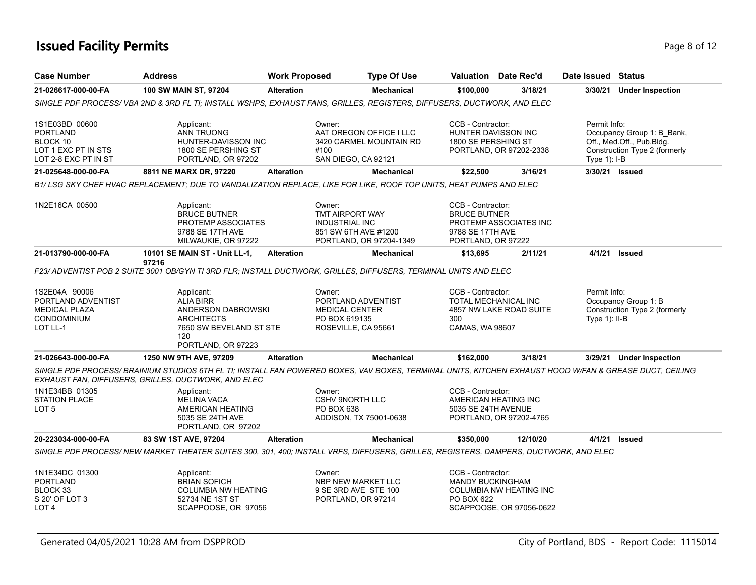# **Issued Facility Permits** Page 8 of 12

| <b>Case Number</b>                                                                            | <b>Address</b>                                                                                                                                                                                                 | <b>Work Proposed</b> | <b>Type Of Use</b>                                                                                    |                                                                                    | <b>Valuation</b> Date Rec'd                           | Date Issued Status              |                                                                                          |
|-----------------------------------------------------------------------------------------------|----------------------------------------------------------------------------------------------------------------------------------------------------------------------------------------------------------------|----------------------|-------------------------------------------------------------------------------------------------------|------------------------------------------------------------------------------------|-------------------------------------------------------|---------------------------------|------------------------------------------------------------------------------------------|
| 21-026617-000-00-FA                                                                           | 100 SW MAIN ST, 97204                                                                                                                                                                                          | <b>Alteration</b>    | <b>Mechanical</b>                                                                                     | \$100,000                                                                          | 3/18/21                                               |                                 | 3/30/21 Under Inspection                                                                 |
|                                                                                               | SINGLE PDF PROCESS/VBA 2ND & 3RD FL TI; INSTALL WSHPS, EXHAUST FANS, GRILLES, REGISTERS, DIFFUSERS, DUCTWORK, AND ELEC                                                                                         |                      |                                                                                                       |                                                                                    |                                                       |                                 |                                                                                          |
| 1S1E03BD 00600<br>PORTLAND<br>BLOCK 10<br>LOT 1 EXC PT IN STS<br>LOT 2-8 EXC PT IN ST         | Applicant:<br><b>ANN TRUONG</b><br>HUNTER-DAVISSON INC<br>1800 SE PERSHING ST<br>PORTLAND, OR 97202                                                                                                            |                      | Owner:<br>AAT OREGON OFFICE I LLC<br>3420 CARMEL MOUNTAIN RD<br>#100<br>SAN DIEGO, CA 92121           | CCB - Contractor:<br>1800 SE PERSHING ST                                           | <b>HUNTER DAVISSON INC</b><br>PORTLAND, OR 97202-2338 | Permit Info:<br>Type $1$ : I-B  | Occupancy Group 1: B_Bank,<br>Off., Med.Off., Pub.Bldg.<br>Construction Type 2 (formerly |
| 21-025648-000-00-FA                                                                           | 8811 NE MARX DR, 97220                                                                                                                                                                                         | <b>Alteration</b>    | <b>Mechanical</b>                                                                                     | \$22,500                                                                           | 3/16/21                                               | 3/30/21 Issued                  |                                                                                          |
|                                                                                               | B1/LSG SKY CHEF HVAC REPLACEMENT; DUE TO VANDALIZATION REPLACE, LIKE FOR LIKE, ROOF TOP UNITS, HEAT PUMPS AND ELEC                                                                                             |                      |                                                                                                       |                                                                                    |                                                       |                                 |                                                                                          |
| 1N2E16CA 00500                                                                                | Applicant:<br><b>BRUCE BUTNER</b><br><b>PROTEMP ASSOCIATES</b><br>9788 SE 17TH AVE<br>MILWAUKIE, OR 97222                                                                                                      |                      | Owner:<br>TMT AIRPORT WAY<br><b>INDUSTRIAL INC</b><br>851 SW 6TH AVE #1200<br>PORTLAND, OR 97204-1349 | CCB - Contractor:<br><b>BRUCE BUTNER</b><br>9788 SE 17TH AVE<br>PORTLAND, OR 97222 | PROTEMP ASSOCIATES INC                                |                                 |                                                                                          |
| 21-013790-000-00-FA                                                                           | 10101 SE MAIN ST - Unit LL-1,                                                                                                                                                                                  | <b>Alteration</b>    | <b>Mechanical</b>                                                                                     | \$13,695                                                                           | 2/11/21                                               | 4/1/21 Issued                   |                                                                                          |
|                                                                                               | 97216<br>F23/ ADVENTIST POB 2 SUITE 3001 OB/GYN TI 3RD FLR; INSTALL DUCTWORK, GRILLES, DIFFUSERS, TERMINAL UNITS AND ELEC                                                                                      |                      |                                                                                                       |                                                                                    |                                                       |                                 |                                                                                          |
| 1S2E04A 90006<br>PORTLAND ADVENTIST<br><b>MEDICAL PLAZA</b><br><b>CONDOMINIUM</b><br>LOT LL-1 | Applicant:<br><b>ALIA BIRR</b><br>ANDERSON DABROWSKI<br><b>ARCHITECTS</b><br>7650 SW BEVELAND ST STE<br>120<br>PORTLAND, OR 97223                                                                              |                      | Owner:<br>PORTLAND ADVENTIST<br><b>MEDICAL CENTER</b><br>PO BOX 619135<br>ROSEVILLE, CA 95661         | CCB - Contractor:<br>300<br>CAMAS, WA 98607                                        | TOTAL MECHANICAL INC<br>4857 NW LAKE ROAD SUITE       | Permit Info:<br>Type $1$ : II-B | Occupancy Group 1: B<br>Construction Type 2 (formerly                                    |
| 21-026643-000-00-FA                                                                           | 1250 NW 9TH AVE, 97209                                                                                                                                                                                         | <b>Alteration</b>    | <b>Mechanical</b>                                                                                     | \$162,000                                                                          | 3/18/21                                               |                                 | 3/29/21 Under Inspection                                                                 |
|                                                                                               | SINGLE PDF PROCESS/ BRAINIUM STUDIOS 6TH FL TI; INSTALL FAN POWERED BOXES, VAV BOXES, TERMINAL UNITS, KITCHEN EXHAUST HOOD W/FAN & GREASE DUCT, CEILING<br>EXHAUST FAN, DIFFUSERS, GRILLES, DUCTWORK, AND ELEC |                      |                                                                                                       |                                                                                    |                                                       |                                 |                                                                                          |
| 1N1E34BB 01305<br>STATION PLACE<br>LOT 5                                                      | Applicant:<br><b>MELINA VACA</b><br>AMERICAN HEATING<br>5035 SE 24TH AVE<br>PORTLAND, OR 97202                                                                                                                 |                      | Owner:<br><b>CSHV 9NORTH LLC</b><br>PO BOX 638<br>ADDISON, TX 75001-0638                              | CCB - Contractor:<br>5035 SE 24TH AVENUE                                           | AMERICAN HEATING INC<br>PORTLAND, OR 97202-4765       |                                 |                                                                                          |
| 20-223034-000-00-FA                                                                           | 83 SW 1ST AVE, 97204                                                                                                                                                                                           | <b>Alteration</b>    | <b>Mechanical</b>                                                                                     | \$350,000                                                                          | 12/10/20                                              | 4/1/21 <b>Issued</b>            |                                                                                          |
|                                                                                               | SINGLE PDF PROCESS/ NEW MARKET THEATER SUITES 300, 301, 400; INSTALL VRFS, DIFFUSERS, GRILLES, REGISTERS, DAMPERS, DUCTWORK, AND ELEC                                                                          |                      |                                                                                                       |                                                                                    |                                                       |                                 |                                                                                          |
| 1N1E34DC 01300<br>PORTLAND<br>BLOCK 33<br>S 20' OF LOT 3<br>LOT <sub>4</sub>                  | Applicant:<br><b>BRIAN SOFICH</b><br><b>COLUMBIA NW HEATING</b><br>52734 NE 1ST ST<br>SCAPPOOSE, OR 97056                                                                                                      |                      | Owner:<br>NBP NEW MARKET LLC<br>9 SE 3RD AVE STE 100<br>PORTLAND, OR 97214                            | CCB - Contractor:<br><b>MANDY BUCKINGHAM</b><br>PO BOX 622                         | COLUMBIA NW HEATING INC<br>SCAPPOOSE, OR 97056-0622   |                                 |                                                                                          |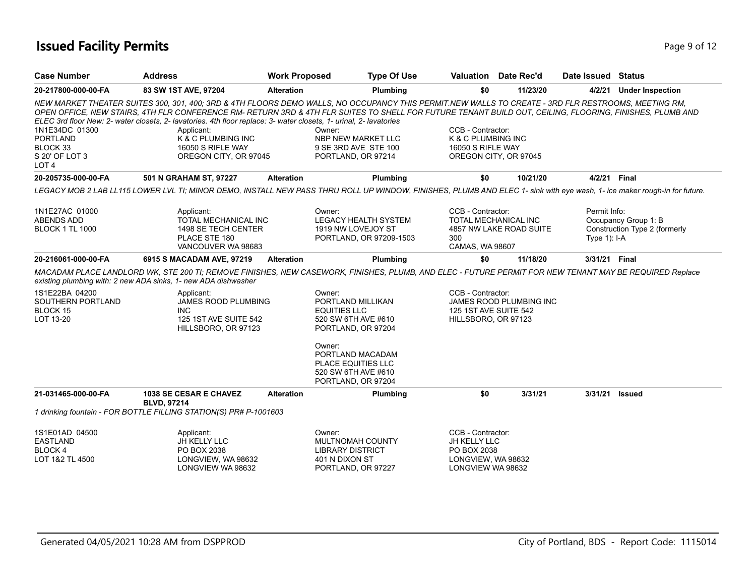# **Issued Facility Permits** Page 9 of 12

| <b>Case Number</b>                                                                  | <b>Address</b>                                                                                                                                                                                                                                                                                                                                                                                                                                                                                                                     | <b>Work Proposed</b> |                                                                                                      | <b>Type Of Use</b>      | <b>Valuation</b> Date Rec'd                                                                           |          | Date Issued Status             |                                                       |
|-------------------------------------------------------------------------------------|------------------------------------------------------------------------------------------------------------------------------------------------------------------------------------------------------------------------------------------------------------------------------------------------------------------------------------------------------------------------------------------------------------------------------------------------------------------------------------------------------------------------------------|----------------------|------------------------------------------------------------------------------------------------------|-------------------------|-------------------------------------------------------------------------------------------------------|----------|--------------------------------|-------------------------------------------------------|
| 20-217800-000-00-FA                                                                 | 83 SW 1ST AVE, 97204                                                                                                                                                                                                                                                                                                                                                                                                                                                                                                               | <b>Alteration</b>    |                                                                                                      | Plumbing                | \$0                                                                                                   | 11/23/20 |                                | 4/2/21 Under Inspection                               |
| 1N1E34DC 01300<br><b>PORTLAND</b><br>BLOCK 33<br>S 20' OF LOT 3<br>LOT <sub>4</sub> | NEW MARKET THEATER SUITES 300, 301, 400; 3RD & 4TH FLOORS DEMO WALLS, NO OCCUPANCY THIS PERMIT.NEW WALLS TO CREATE - 3RD FLR RESTROOMS, MEETING RM,<br>OPEN OFFICE, NEW STAIRS, 4TH FLR CONFERENCE RM- RETURN 3RD & 4TH FLR SUITES TO SHELL FOR FUTURE TENANT BUILD OUT, CEILING, FLOORING, FINISHES, PLUMB AND<br>ELEC 3rd floor New: 2- water closets, 2- lavatories. 4th floor replace: 3- water closets, 1- urinal, 2- lavatories<br>Applicant:<br><b>K &amp; C PLUMBING INC</b><br>16050 S RIFLE WAY<br>OREGON CITY, OR 97045 |                      | Owner:<br>NBP NEW MARKET LLC<br>9 SE 3RD AVE STE 100<br>PORTLAND, OR 97214                           |                         | CCB - Contractor:<br><b>K &amp; C PLUMBING INC</b><br>16050 S RIFLE WAY<br>OREGON CITY, OR 97045      |          |                                |                                                       |
| 20-205735-000-00-FA                                                                 | 501 N GRAHAM ST, 97227                                                                                                                                                                                                                                                                                                                                                                                                                                                                                                             | <b>Alteration</b>    |                                                                                                      | Plumbing                | \$0                                                                                                   | 10/21/20 | 4/2/21 Final                   |                                                       |
|                                                                                     | LEGACY MOB 2 LAB LL115 LOWER LVL TI; MINOR DEMO, INSTALL NEW PASS THRU ROLL UP WINDOW, FINISHES, PLUMB AND ELEC 1- sink with eye wash, 1- ice maker rough-in for future.                                                                                                                                                                                                                                                                                                                                                           |                      |                                                                                                      |                         |                                                                                                       |          |                                |                                                       |
| 1N1E27AC 01000<br><b>ABENDS ADD</b><br><b>BLOCK 1 TL 1000</b>                       | Applicant:<br>TOTAL MECHANICAL INC<br>1498 SE TECH CENTER<br>PLACE STE 180<br>VANCOUVER WA 98683                                                                                                                                                                                                                                                                                                                                                                                                                                   |                      | Owner:<br>LEGACY HEALTH SYSTEM<br>1919 NW LOVEJOY ST                                                 | PORTLAND, OR 97209-1503 | CCB - Contractor:<br><b>TOTAL MECHANICAL INC</b><br>4857 NW LAKE ROAD SUITE<br>300<br>CAMAS, WA 98607 |          | Permit Info:<br>Type $1$ : I-A | Occupancy Group 1: B<br>Construction Type 2 (formerly |
| 20-216061-000-00-FA                                                                 | 6915 S MACADAM AVE, 97219                                                                                                                                                                                                                                                                                                                                                                                                                                                                                                          | <b>Alteration</b>    |                                                                                                      | Plumbing                | \$0                                                                                                   | 11/18/20 | 3/31/21 Final                  |                                                       |
|                                                                                     | MACADAM PLACE LANDLORD WK, STE 200 TI; REMOVE FINISHES, NEW CASEWORK, FINISHES, PLUMB, AND ELEC - FUTURE PERMIT FOR NEW TENANT MAY BE REQUIRED Replace<br>existing plumbing with: 2 new ADA sinks, 1- new ADA dishwasher                                                                                                                                                                                                                                                                                                           |                      |                                                                                                      |                         |                                                                                                       |          |                                |                                                       |
| 1S1E22BA 04200<br>SOUTHERN PORTLAND<br><b>BLOCK 15</b><br>LOT 13-20                 | Applicant:<br>JAMES ROOD PLUMBING<br><b>INC</b><br>125 1ST AVE SUITE 542<br>HILLSBORO, OR 97123                                                                                                                                                                                                                                                                                                                                                                                                                                    |                      | Owner:<br>PORTLAND MILLIKAN<br><b>EQUITIES LLC</b><br>520 SW 6TH AVE #610<br>PORTLAND, OR 97204      |                         | CCB - Contractor:<br>JAMES ROOD PLUMBING INC<br>125 1ST AVE SUITE 542<br>HILLSBORO, OR 97123          |          |                                |                                                       |
|                                                                                     |                                                                                                                                                                                                                                                                                                                                                                                                                                                                                                                                    |                      | Owner:<br>PORTLAND MACADAM<br><b>PLACE EQUITIES LLC</b><br>520 SW 6TH AVE #610<br>PORTLAND, OR 97204 |                         |                                                                                                       |          |                                |                                                       |
| 21-031465-000-00-FA                                                                 | <b>1038 SE CESAR E CHAVEZ</b>                                                                                                                                                                                                                                                                                                                                                                                                                                                                                                      | <b>Alteration</b>    |                                                                                                      | Plumbing                | \$0                                                                                                   | 3/31/21  | 3/31/21 Issued                 |                                                       |
|                                                                                     | <b>BLVD, 97214</b><br>1 drinking fountain - FOR BOTTLE FILLING STATION(S) PR# P-1001603                                                                                                                                                                                                                                                                                                                                                                                                                                            |                      |                                                                                                      |                         |                                                                                                       |          |                                |                                                       |
| 1S1E01AD 04500<br><b>EASTLAND</b><br>BLOCK 4<br>LOT 1&2 TL 4500                     | Applicant:<br>JH KELLY LLC<br>PO BOX 2038<br>LONGVIEW, WA 98632<br>LONGVIEW WA 98632                                                                                                                                                                                                                                                                                                                                                                                                                                               |                      | Owner:<br>MULTNOMAH COUNTY<br><b>LIBRARY DISTRICT</b><br>401 N DIXON ST<br>PORTLAND, OR 97227        |                         | CCB - Contractor:<br>JH KELLY LLC<br>PO BOX 2038<br>LONGVIEW, WA 98632<br>LONGVIEW WA 98632           |          |                                |                                                       |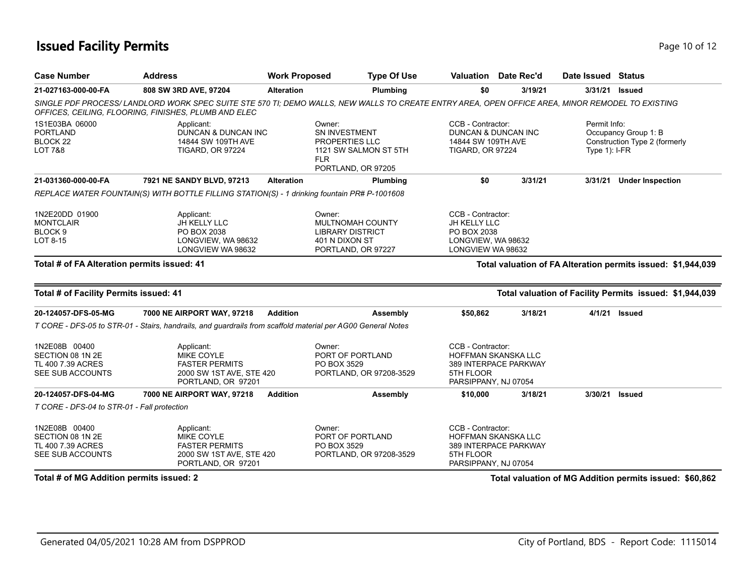## **Issued Facility Permits** Page 10 of 12

| <b>Case Number</b>                                                                                                                                                   | <b>Address</b>                                                                                                                                                                                           | <b>Work Proposed</b>                                                                                   |                                                                                                      | <b>Type Of Use</b>                                                                                   | Valuation Date Rec'd                                                                                          |                                 | Date Issued Status                                    |                                                              |
|----------------------------------------------------------------------------------------------------------------------------------------------------------------------|----------------------------------------------------------------------------------------------------------------------------------------------------------------------------------------------------------|--------------------------------------------------------------------------------------------------------|------------------------------------------------------------------------------------------------------|------------------------------------------------------------------------------------------------------|---------------------------------------------------------------------------------------------------------------|---------------------------------|-------------------------------------------------------|--------------------------------------------------------------|
| 21-027163-000-00-FA                                                                                                                                                  | 808 SW 3RD AVE, 97204                                                                                                                                                                                    | <b>Alteration</b>                                                                                      |                                                                                                      | Plumbing                                                                                             | \$0                                                                                                           | 3/19/21                         |                                                       | 3/31/21 Issued                                               |
|                                                                                                                                                                      | SINGLE PDF PROCESS/ LANDLORD WORK SPEC SUITE STE 570 TI; DEMO WALLS, NEW WALLS TO CREATE ENTRY AREA, OPEN OFFICE AREA, MINOR REMODEL TO EXISTING<br>OFFICES, CEILING, FLOORING, FINISHES, PLUMB AND ELEC |                                                                                                        |                                                                                                      |                                                                                                      |                                                                                                               |                                 |                                                       |                                                              |
| 1S1E03BA 06000<br>Applicant:<br><b>PORTLAND</b><br>DUNCAN & DUNCAN INC<br>BLOCK <sub>22</sub><br>14844 SW 109TH AVE<br><b>LOT 7&amp;8</b><br><b>TIGARD, OR 97224</b> |                                                                                                                                                                                                          | Owner:<br>SN INVESTMENT<br>PROPERTIES LLC<br>1121 SW SALMON ST 5TH<br><b>FLR</b><br>PORTLAND, OR 97205 |                                                                                                      | CCB - Contractor:<br><b>DUNCAN &amp; DUNCAN INC</b><br>14844 SW 109TH AVE<br><b>TIGARD, OR 97224</b> |                                                                                                               | Permit Info:<br>Type $1$ : I-FR | Occupancy Group 1: B<br>Construction Type 2 (formerly |                                                              |
| 21-031360-000-00-FA                                                                                                                                                  | 7921 NE SANDY BLVD, 97213                                                                                                                                                                                | <b>Alteration</b>                                                                                      |                                                                                                      | Plumbing                                                                                             | \$0                                                                                                           | 3/31/21                         | 3/31/21                                               | <b>Under Inspection</b>                                      |
|                                                                                                                                                                      | REPLACE WATER FOUNTAIN(S) WITH BOTTLE FILLING STATION(S) - 1 drinking fountain PR# P-1001608                                                                                                             |                                                                                                        |                                                                                                      |                                                                                                      |                                                                                                               |                                 |                                                       |                                                              |
| 1N2E20DD 01900<br><b>MONTCLAIR</b><br>BLOCK 9<br>LOT 8-15                                                                                                            | Applicant:<br><b>JH KELLY LLC</b><br>PO BOX 2038<br>LONGVIEW, WA 98632<br>LONGVIEW WA 98632                                                                                                              |                                                                                                        | Owner:<br><b>MULTNOMAH COUNTY</b><br><b>LIBRARY DISTRICT</b><br>401 N DIXON ST<br>PORTLAND, OR 97227 |                                                                                                      | CCB - Contractor:<br>JH KELLY LLC<br>PO BOX 2038<br>LONGVIEW, WA 98632<br>LONGVIEW WA 98632                   |                                 |                                                       |                                                              |
| Total # of FA Alteration permits issued: 41                                                                                                                          |                                                                                                                                                                                                          |                                                                                                        |                                                                                                      |                                                                                                      |                                                                                                               |                                 |                                                       | Total valuation of FA Alteration permits issued: \$1,944,039 |
| Total # of Facility Permits issued: 41                                                                                                                               |                                                                                                                                                                                                          |                                                                                                        |                                                                                                      |                                                                                                      |                                                                                                               |                                 |                                                       | Total valuation of Facility Permits issued: \$1,944,039      |
| 20-124057-DFS-05-MG                                                                                                                                                  | 7000 NE AIRPORT WAY, 97218                                                                                                                                                                               | <b>Addition</b>                                                                                        |                                                                                                      | Assembly                                                                                             | \$50,862                                                                                                      | 3/18/21                         |                                                       | 4/1/21 Issued                                                |
|                                                                                                                                                                      | T CORE - DFS-05 to STR-01 - Stairs, handrails, and guardrails from scaffold material per AG00 General Notes                                                                                              |                                                                                                        |                                                                                                      |                                                                                                      |                                                                                                               |                                 |                                                       |                                                              |
| 1N2E08B 00400<br>SECTION 08 1N 2E<br>TL 400 7.39 ACRES<br>SEE SUB ACCOUNTS                                                                                           | Applicant:<br>MIKE COYLE<br><b>FASTER PERMITS</b><br>2000 SW 1ST AVE, STE 420<br>PORTLAND, OR 97201                                                                                                      |                                                                                                        | Owner:<br>PORT OF PORTLAND<br>PO BOX 3529                                                            | PORTLAND, OR 97208-3529                                                                              | CCB - Contractor:<br><b>HOFFMAN SKANSKA LLC</b><br>389 INTERPACE PARKWAY<br>5TH FLOOR<br>PARSIPPANY, NJ 07054 |                                 |                                                       |                                                              |
| 20-124057-DFS-04-MG                                                                                                                                                  | 7000 NE AIRPORT WAY, 97218                                                                                                                                                                               | <b>Addition</b>                                                                                        |                                                                                                      | Assembly                                                                                             | \$10,000                                                                                                      | 3/18/21                         | 3/30/21                                               | Issued                                                       |
| T CORE - DFS-04 to STR-01 - Fall protection                                                                                                                          |                                                                                                                                                                                                          |                                                                                                        |                                                                                                      |                                                                                                      |                                                                                                               |                                 |                                                       |                                                              |
| 1N2E08B 00400<br>SECTION 08 1N 2E<br>TL 400 7.39 ACRES<br>SEE SUB ACCOUNTS                                                                                           | Applicant:<br><b>MIKE COYLE</b><br><b>FASTER PERMITS</b><br>2000 SW 1ST AVE, STE 420<br>PORTLAND, OR 97201                                                                                               |                                                                                                        | Owner:<br>PORT OF PORTLAND<br>PO BOX 3529                                                            | PORTLAND, OR 97208-3529                                                                              | CCB - Contractor:<br>HOFFMAN SKANSKA LLC<br>389 INTERPACE PARKWAY<br>5TH FLOOR<br>PARSIPPANY, NJ 07054        |                                 |                                                       |                                                              |
| Total # of MG Addition permits issued: 2                                                                                                                             |                                                                                                                                                                                                          |                                                                                                        |                                                                                                      |                                                                                                      |                                                                                                               |                                 |                                                       | Total valuation of MG Addition permits issued: \$60,862      |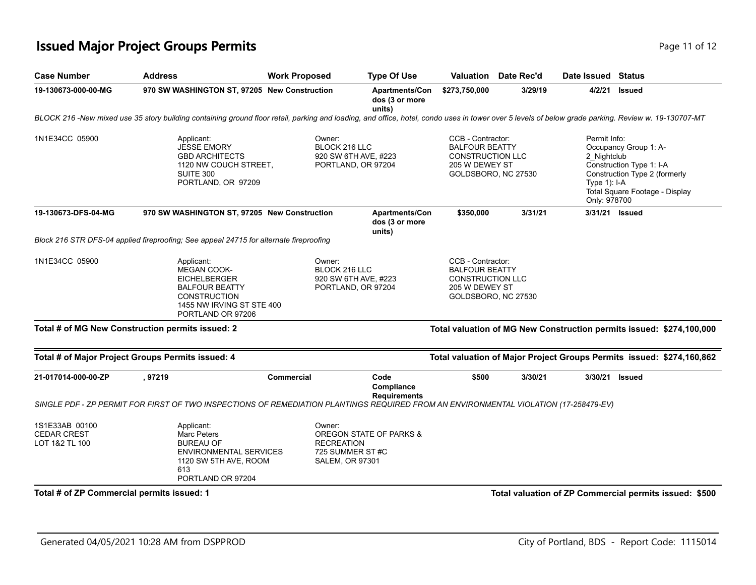## **Issued Major Project Groups Permits Page 11 of 12** and **Page 11 of 12** and **Page 11 of 12**

| <b>Case Number</b>                                     | <b>Address</b>                                                                                                                                                                                      | <b>Work Proposed</b>                                                     | <b>Type Of Use</b>                                | Valuation                                                                                                      | Date Rec'd | Date Issued Status                                             |                                                                                                                      |
|--------------------------------------------------------|-----------------------------------------------------------------------------------------------------------------------------------------------------------------------------------------------------|--------------------------------------------------------------------------|---------------------------------------------------|----------------------------------------------------------------------------------------------------------------|------------|----------------------------------------------------------------|----------------------------------------------------------------------------------------------------------------------|
| 19-130673-000-00-MG                                    | 970 SW WASHINGTON ST, 97205 New Construction                                                                                                                                                        |                                                                          | Apartments/Con<br>dos (3 or more<br>units)        | \$273,750,000                                                                                                  | 3/29/19    | 4/2/21                                                         | <b>Issued</b>                                                                                                        |
|                                                        | BLOCK 216 -New mixed use 35 story building containing ground floor retail, parking and loading, and office, hotel, condo uses in tower over 5 levels of below grade parking. Review w. 19-130707-MT |                                                                          |                                                   |                                                                                                                |            |                                                                |                                                                                                                      |
| 1N1E34CC 05900                                         | Applicant:<br><b>JESSE EMORY</b><br><b>GBD ARCHITECTS</b><br>1120 NW COUCH STREET,<br>SUITE 300<br>PORTLAND, OR 97209                                                                               | Owner:<br>BLOCK 216 LLC<br>920 SW 6TH AVE, #223<br>PORTLAND, OR 97204    |                                                   | CCB - Contractor:<br><b>BALFOUR BEATTY</b><br><b>CONSTRUCTION LLC</b><br>205 W DEWEY ST<br>GOLDSBORO, NC 27530 |            | Permit Info:<br>2 Nightclub<br>Type $1$ ): I-A<br>Only: 978700 | Occupancy Group 1: A-<br>Construction Type 1: I-A<br>Construction Type 2 (formerly<br>Total Square Footage - Display |
| 19-130673-DFS-04-MG                                    | 970 SW WASHINGTON ST, 97205 New Construction                                                                                                                                                        |                                                                          | <b>Apartments/Con</b><br>dos (3 or more<br>units) | \$350,000                                                                                                      | 3/31/21    | 3/31/21 Issued                                                 |                                                                                                                      |
|                                                        | Block 216 STR DFS-04 applied fireproofing; See appeal 24715 for alternate fireproofing                                                                                                              |                                                                          |                                                   |                                                                                                                |            |                                                                |                                                                                                                      |
| 1N1E34CC 05900                                         | Applicant:<br><b>MEGAN COOK-</b><br><b>EICHELBERGER</b><br><b>BALFOUR BEATTY</b><br><b>CONSTRUCTION</b><br>1455 NW IRVING ST STE 400<br>PORTLAND OR 97206                                           | Owner:<br>BLOCK 216 LLC<br>920 SW 6TH AVE, #223<br>PORTLAND, OR 97204    |                                                   | CCB - Contractor:<br><b>BALFOUR BEATTY</b><br><b>CONSTRUCTION LLC</b><br>205 W DEWEY ST<br>GOLDSBORO, NC 27530 |            |                                                                |                                                                                                                      |
|                                                        | Total # of MG New Construction permits issued: 2                                                                                                                                                    |                                                                          |                                                   |                                                                                                                |            |                                                                | Total valuation of MG New Construction permits issued: \$274,100,000                                                 |
|                                                        | Total # of Major Project Groups Permits issued: 4                                                                                                                                                   |                                                                          |                                                   |                                                                                                                |            |                                                                | Total valuation of Major Project Groups Permits issued: \$274,160,862                                                |
| 21-017014-000-00-ZP                                    | , 97219<br>SINGLE PDF - ZP PERMIT FOR FIRST OF TWO INSPECTIONS OF REMEDIATION PLANTINGS REQUIRED FROM AN ENVIRONMENTAL VIOLATION (17-258479-EV)                                                     | Commercial                                                               | Code<br>Compliance<br><b>Requirements</b>         | \$500                                                                                                          | 3/30/21    | 3/30/21 Issued                                                 |                                                                                                                      |
| 1S1E33AB 00100<br><b>CEDAR CREST</b><br>LOT 1&2 TL 100 | Applicant:<br>Marc Peters<br><b>BUREAU OF</b><br><b>ENVIRONMENTAL SERVICES</b><br>1120 SW 5TH AVE, ROOM<br>613<br>PORTLAND OR 97204                                                                 | Owner:<br><b>RECREATION</b><br>725 SUMMER ST#C<br><b>SALEM, OR 97301</b> | OREGON STATE OF PARKS &                           |                                                                                                                |            |                                                                |                                                                                                                      |
| Total # of ZP Commercial permits issued: 1             |                                                                                                                                                                                                     |                                                                          |                                                   |                                                                                                                |            |                                                                | Total valuation of ZP Commercial permits issued: \$500                                                               |